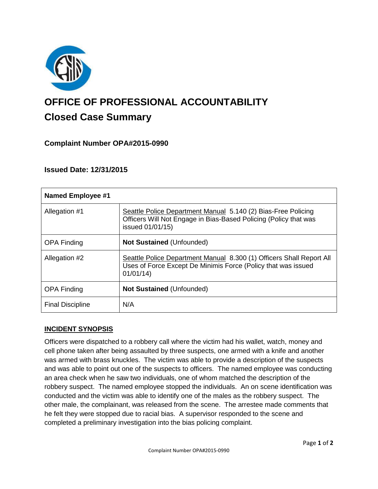

# **OFFICE OF PROFESSIONAL ACCOUNTABILITY Closed Case Summary**

# **Complaint Number OPA#2015-0990**

# **Issued Date: 12/31/2015**

| <b>Named Employee #1</b> |                                                                                                                                                       |
|--------------------------|-------------------------------------------------------------------------------------------------------------------------------------------------------|
| Allegation #1            | Seattle Police Department Manual 5.140 (2) Bias-Free Policing<br>Officers Will Not Engage in Bias-Based Policing (Policy that was<br>issued 01/01/15) |
| <b>OPA Finding</b>       | <b>Not Sustained (Unfounded)</b>                                                                                                                      |
| Allegation #2            | Seattle Police Department Manual 8.300 (1) Officers Shall Report All<br>Uses of Force Except De Minimis Force (Policy that was issued<br>01/01/14     |
| <b>OPA Finding</b>       | <b>Not Sustained (Unfounded)</b>                                                                                                                      |
| <b>Final Discipline</b>  | N/A                                                                                                                                                   |

## **INCIDENT SYNOPSIS**

Officers were dispatched to a robbery call where the victim had his wallet, watch, money and cell phone taken after being assaulted by three suspects, one armed with a knife and another was armed with brass knuckles. The victim was able to provide a description of the suspects and was able to point out one of the suspects to officers. The named employee was conducting an area check when he saw two individuals, one of whom matched the description of the robbery suspect. The named employee stopped the individuals. An on scene identification was conducted and the victim was able to identify one of the males as the robbery suspect. The other male, the complainant, was released from the scene. The arrestee made comments that he felt they were stopped due to racial bias. A supervisor responded to the scene and completed a preliminary investigation into the bias policing complaint.